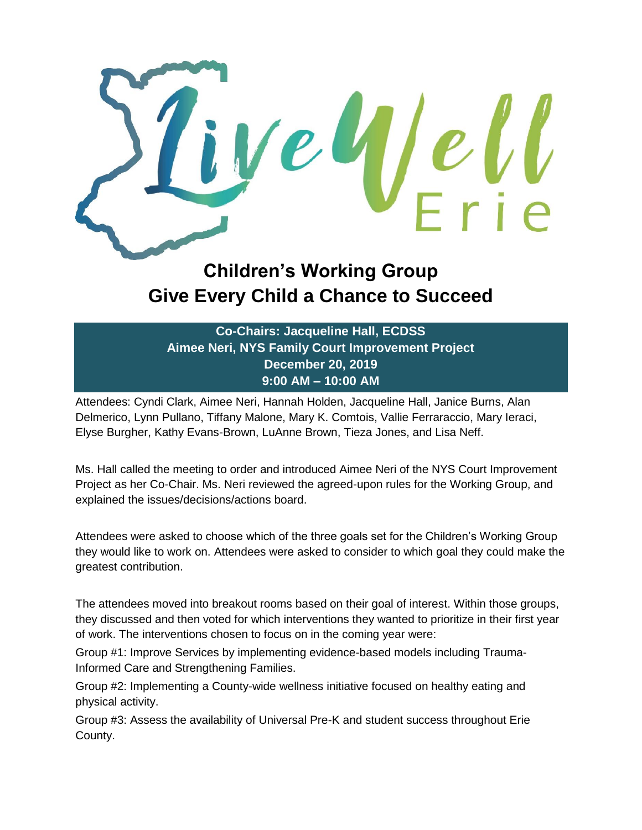

## **Children's Working Group Give Every Child a Chance to Succeed**

**Co-Chairs: Jacqueline Hall, ECDSS Aimee Neri, NYS Family Court Improvement Project December 20, 2019 9:00 AM – 10:00 AM**

Attendees: Cyndi Clark, Aimee Neri, Hannah Holden, Jacqueline Hall, Janice Burns, Alan Delmerico, Lynn Pullano, Tiffany Malone, Mary K. Comtois, Vallie Ferraraccio, Mary Ieraci, Elyse Burgher, Kathy Evans-Brown, LuAnne Brown, Tieza Jones, and Lisa Neff.

Ms. Hall called the meeting to order and introduced Aimee Neri of the NYS Court Improvement Project as her Co-Chair. Ms. Neri reviewed the agreed-upon rules for the Working Group, and explained the issues/decisions/actions board.

Attendees were asked to choose which of the three goals set for the Children's Working Group they would like to work on. Attendees were asked to consider to which goal they could make the greatest contribution.

The attendees moved into breakout rooms based on their goal of interest. Within those groups, they discussed and then voted for which interventions they wanted to prioritize in their first year of work. The interventions chosen to focus on in the coming year were:

Group #1: Improve Services by implementing evidence-based models including Trauma-Informed Care and Strengthening Families.

Group #2: Implementing a County-wide wellness initiative focused on healthy eating and physical activity.

Group #3: Assess the availability of Universal Pre-K and student success throughout Erie County.